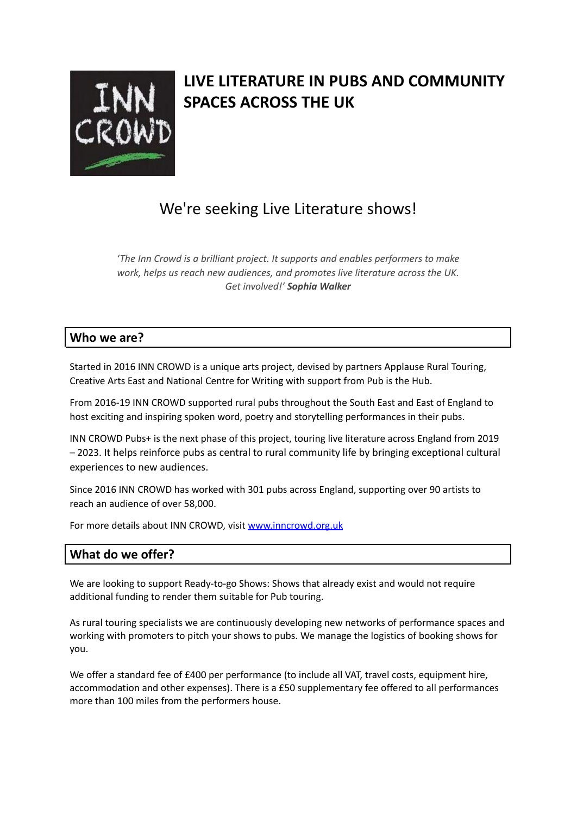

# **LIVE LITERATURE IN PUBS AND COMMUNITY SPACES ACROSS THE UK**

# We're seeking Live Literature shows!

*'The Inn Crowd is a brilliant project. It supports and enables performers to make work, helps us reach new audiences, and promotes live literature across the UK. Get involved!' Sophia Walker*

## **Who we are?**

Started in 2016 INN CROWD is a unique arts project, devised by partners Applause Rural Touring, Creative Arts East and National Centre for Writing with support from Pub is the Hub.

From 2016-19 INN CROWD supported rural pubs throughout the South East and East of England to host exciting and inspiring spoken word, poetry and storytelling performances in their pubs.

INN CROWD Pubs+ is the next phase of this project, touring live literature across England from 2019 – 2023. It helps reinforce pubs as central to rural community life by bringing exceptional cultural experiences to new audiences.

Since 2016 INN CROWD has worked with 301 pubs across England, supporting over 90 artists to reach an audience of over 58,000.

For more details about INN CROWD, visit [www.inncrowd.org.uk](http://www.inncrowd.org.uk)

## **What do we offer?**

We are looking to support Ready-to-go Shows: Shows that already exist and would not require additional funding to render them suitable for Pub touring.

As rural touring specialists we are continuously developing new networks of performance spaces and working with promoters to pitch your shows to pubs. We manage the logistics of booking shows for you.

We offer a standard fee of £400 per performance (to include all VAT, travel costs, equipment hire, accommodation and other expenses). There is a £50 supplementary fee offered to all performances more than 100 miles from the performers house.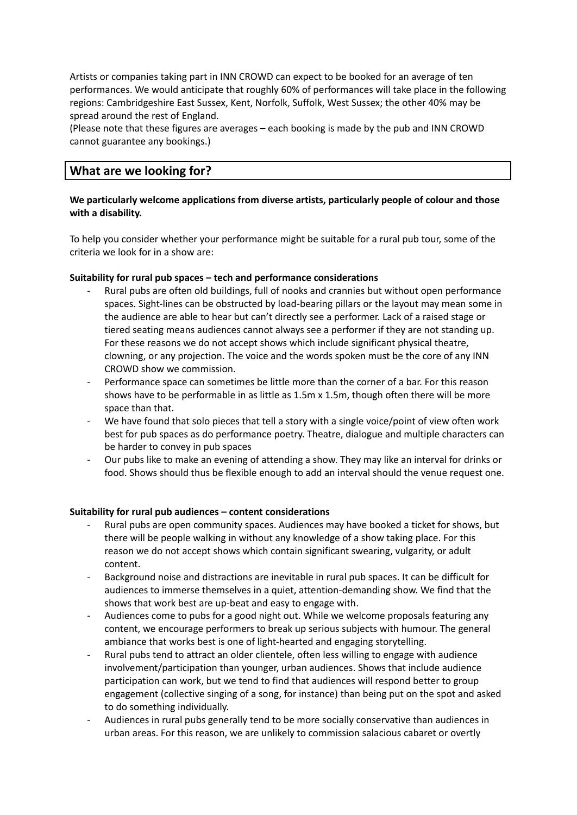Artists or companies taking part in INN CROWD can expect to be booked for an average of ten performances. We would anticipate that roughly 60% of performances will take place in the following regions: Cambridgeshire East Sussex, Kent, Norfolk, Suffolk, West Sussex; the other 40% may be spread around the rest of England.

(Please note that these figures are averages – each booking is made by the pub and INN CROWD cannot guarantee any bookings.)

### **What are we looking for?**

#### **We particularly welcome applications from diverse artists, particularly people of colour and those with a disability.**

To help you consider whether your performance might be suitable for a rural pub tour, some of the criteria we look for in a show are:

#### **Suitability for rural pub spaces – tech and performance considerations**

- Rural pubs are often old buildings, full of nooks and crannies but without open performance spaces. Sight-lines can be obstructed by load-bearing pillars or the layout may mean some in the audience are able to hear but can't directly see a performer. Lack of a raised stage or tiered seating means audiences cannot always see a performer if they are not standing up. For these reasons we do not accept shows which include significant physical theatre, clowning, or any projection. The voice and the words spoken must be the core of any INN CROWD show we commission.
- Performance space can sometimes be little more than the corner of a bar. For this reason shows have to be performable in as little as 1.5m x 1.5m, though often there will be more space than that.
- We have found that solo pieces that tell a story with a single voice/point of view often work best for pub spaces as do performance poetry. Theatre, dialogue and multiple characters can be harder to convey in pub spaces
- Our pubs like to make an evening of attending a show. They may like an interval for drinks or food. Shows should thus be flexible enough to add an interval should the venue request one.

#### **Suitability for rural pub audiences – content considerations**

- Rural pubs are open community spaces. Audiences may have booked a ticket for shows, but there will be people walking in without any knowledge of a show taking place. For this reason we do not accept shows which contain significant swearing, vulgarity, or adult content.
- Background noise and distractions are inevitable in rural pub spaces. It can be difficult for audiences to immerse themselves in a quiet, attention-demanding show. We find that the shows that work best are up-beat and easy to engage with.
- Audiences come to pubs for a good night out. While we welcome proposals featuring any content, we encourage performers to break up serious subjects with humour. The general ambiance that works best is one of light-hearted and engaging storytelling.
- Rural pubs tend to attract an older clientele, often less willing to engage with audience involvement/participation than younger, urban audiences. Shows that include audience participation can work, but we tend to find that audiences will respond better to group engagement (collective singing of a song, for instance) than being put on the spot and asked to do something individually.
- Audiences in rural pubs generally tend to be more socially conservative than audiences in urban areas. For this reason, we are unlikely to commission salacious cabaret or overtly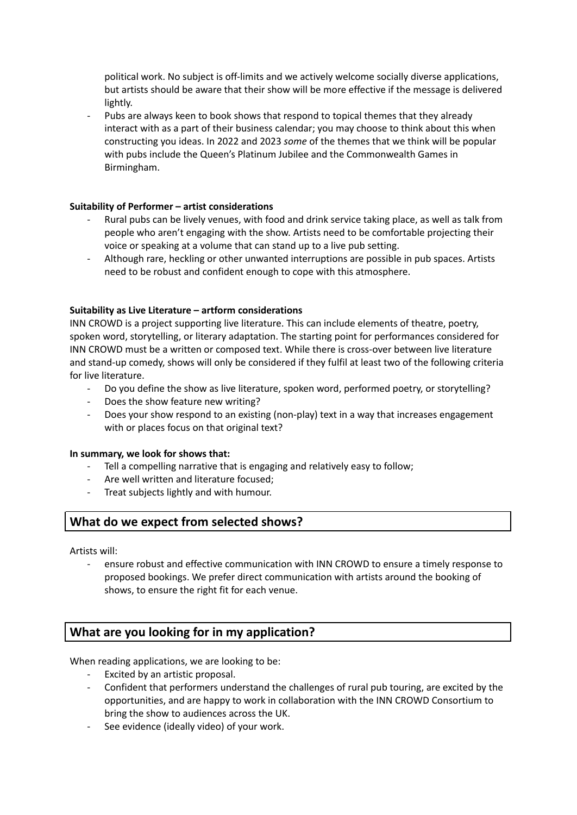political work. No subject is off-limits and we actively welcome socially diverse applications, but artists should be aware that their show will be more effective if the message is delivered lightly.

Pubs are always keen to book shows that respond to topical themes that they already interact with as a part of their business calendar; you may choose to think about this when constructing you ideas. In 2022 and 2023 *some* of the themes that we think will be popular with pubs include the Queen's Platinum Jubilee and the Commonwealth Games in Birmingham.

#### **Suitability of Performer – artist considerations**

- Rural pubs can be lively venues, with food and drink service taking place, as well as talk from people who aren't engaging with the show. Artists need to be comfortable projecting their voice or speaking at a volume that can stand up to a live pub setting.
- Although rare, heckling or other unwanted interruptions are possible in pub spaces. Artists need to be robust and confident enough to cope with this atmosphere.

#### **Suitability as Live Literature – artform considerations**

INN CROWD is a project supporting live literature. This can include elements of theatre, poetry, spoken word, storytelling, or literary adaptation. The starting point for performances considered for INN CROWD must be a written or composed text. While there is cross-over between live literature and stand-up comedy, shows will only be considered if they fulfil at least two of the following criteria for live literature.

- Do you define the show as live literature, spoken word, performed poetry, or storytelling?
- Does the show feature new writing?
- Does your show respond to an existing (non-play) text in a way that increases engagement with or places focus on that original text?

#### **In summary, we look for shows that:**

- Tell a compelling narrative that is engaging and relatively easy to follow;
- Are well written and literature focused;
- Treat subjects lightly and with humour.

## **What do we expect from selected shows?**

Artists will:

ensure robust and effective communication with INN CROWD to ensure a timely response to proposed bookings. We prefer direct communication with artists around the booking of shows, to ensure the right fit for each venue.

## **What are you looking for in my application?**

When reading applications, we are looking to be:

- Excited by an artistic proposal.
- Confident that performers understand the challenges of rural pub touring, are excited by the opportunities, and are happy to work in collaboration with the INN CROWD Consortium to bring the show to audiences across the UK.
- See evidence (ideally video) of your work.